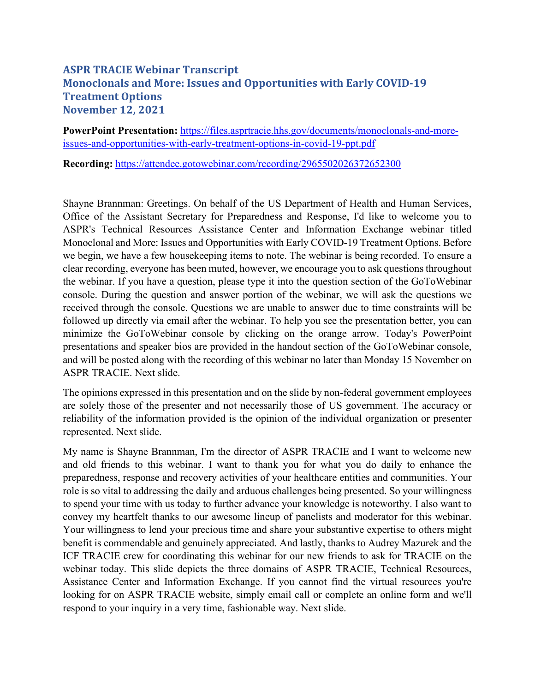## **ASPR TRACIE Webinar Transcript Monoclonals and More: Issues and Opportunities with Early COVID-19 Treatment Options November 12, 2021**

**PowerPoint Presentation:** [https://files.asprtracie.hhs.gov/documents/monoclonals-and-more](https://files.asprtracie.hhs.gov/documents/monoclonals-and-more-issues-and-opportunities-with-early-treatment-options-in-covid-19-ppt.pdf)[issues-and-opportunities-with-early-treatment-options-in-covid-19-ppt.pdf](https://files.asprtracie.hhs.gov/documents/monoclonals-and-more-issues-and-opportunities-with-early-treatment-options-in-covid-19-ppt.pdf) 

**Recording:** <https://attendee.gotowebinar.com/recording/2965502026372652300>

 we begin, we have a few housekeeping items to note. The webinar is being recorded. To ensure a Shayne Brannman: Greetings. On behalf of the US Department of Health and Human Services, Office of the Assistant Secretary for Preparedness and Response, I'd like to welcome you to ASPR's Technical Resources Assistance Center and Information Exchange webinar titled Monoclonal and More: Issues and Opportunities with Early COVID-19 Treatment Options. Before clear recording, everyone has been muted, however, we encourage you to ask questions throughout the webinar. If you have a question, please type it into the question section of the GoToWebinar console. During the question and answer portion of the webinar, we will ask the questions we received through the console. Questions we are unable to answer due to time constraints will be followed up directly via email after the webinar. To help you see the presentation better, you can minimize the GoToWebinar console by clicking on the orange arrow. Today's PowerPoint presentations and speaker bios are provided in the handout section of the GoToWebinar console, and will be posted along with the recording of this webinar no later than Monday 15 November on ASPR TRACIE. Next slide.

The opinions expressed in this presentation and on the slide by non-federal government employees are solely those of the presenter and not necessarily those of US government. The accuracy or reliability of the information provided is the opinion of the individual organization or presenter represented. Next slide.

 ICF TRACIE crew for coordinating this webinar for our new friends to ask for TRACIE on the My name is Shayne Brannman, I'm the director of ASPR TRACIE and I want to welcome new and old friends to this webinar. I want to thank you for what you do daily to enhance the preparedness, response and recovery activities of your healthcare entities and communities. Your role is so vital to addressing the daily and arduous challenges being presented. So your willingness to spend your time with us today to further advance your knowledge is noteworthy. I also want to convey my heartfelt thanks to our awesome lineup of panelists and moderator for this webinar. Your willingness to lend your precious time and share your substantive expertise to others might benefit is commendable and genuinely appreciated. And lastly, thanks to Audrey Mazurek and the webinar today. This slide depicts the three domains of ASPR TRACIE, Technical Resources, Assistance Center and Information Exchange. If you cannot find the virtual resources you're looking for on ASPR TRACIE website, simply email call or complete an online form and we'll respond to your inquiry in a very time, fashionable way. Next slide.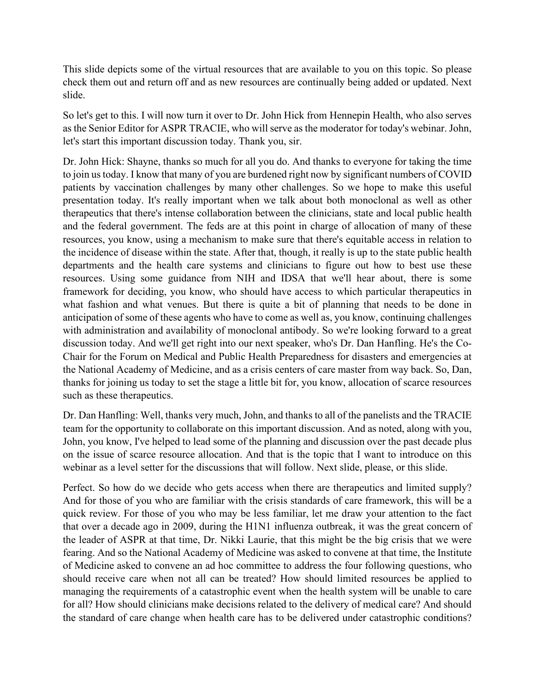This slide depicts some of the virtual resources that are available to you on this topic. So please check them out and return off and as new resources are continually being added or updated. Next slide.

 So let's get to this. I will now turn it over to Dr. John Hick from Hennepin Health, who also serves as the Senior Editor for ASPR TRACIE, who will serve as the moderator for today's webinar. John, let's start this important discussion today. Thank you, sir.

 and the federal government. The feds are at this point in charge of allocation of many of these thanks for joining us today to set the stage a little bit for, you know, allocation of scarce resources Dr. John Hick: Shayne, thanks so much for all you do. And thanks to everyone for taking the time to join us today. I know that many of you are burdened right now by significant numbers of COVID patients by vaccination challenges by many other challenges. So we hope to make this useful presentation today. It's really important when we talk about both monoclonal as well as other therapeutics that there's intense collaboration between the clinicians, state and local public health resources, you know, using a mechanism to make sure that there's equitable access in relation to the incidence of disease within the state. After that, though, it really is up to the state public health departments and the health care systems and clinicians to figure out how to best use these resources. Using some guidance from NIH and IDSA that we'll hear about, there is some framework for deciding, you know, who should have access to which particular therapeutics in what fashion and what venues. But there is quite a bit of planning that needs to be done in anticipation of some of these agents who have to come as well as, you know, continuing challenges with administration and availability of monoclonal antibody. So we're looking forward to a great discussion today. And we'll get right into our next speaker, who's Dr. Dan Hanfling. He's the Co-Chair for the Forum on Medical and Public Health Preparedness for disasters and emergencies at the National Academy of Medicine, and as a crisis centers of care master from way back. So, Dan, such as these therapeutics.

 on the issue of scarce resource allocation. And that is the topic that I want to introduce on this Dr. Dan Hanfling: Well, thanks very much, John, and thanks to all of the panelists and the TRACIE team for the opportunity to collaborate on this important discussion. And as noted, along with you, John, you know, I've helped to lead some of the planning and discussion over the past decade plus webinar as a level setter for the discussions that will follow. Next slide, please, or this slide.

Perfect. So how do we decide who gets access when there are therapeutics and limited supply? And for those of you who are familiar with the crisis standards of care framework, this will be a quick review. For those of you who may be less familiar, let me draw your attention to the fact that over a decade ago in 2009, during the H1N1 influenza outbreak, it was the great concern of the leader of ASPR at that time, Dr. Nikki Laurie, that this might be the big crisis that we were fearing. And so the National Academy of Medicine was asked to convene at that time, the Institute of Medicine asked to convene an ad hoc committee to address the four following questions, who should receive care when not all can be treated? How should limited resources be applied to managing the requirements of a catastrophic event when the health system will be unable to care for all? How should clinicians make decisions related to the delivery of medical care? And should the standard of care change when health care has to be delivered under catastrophic conditions?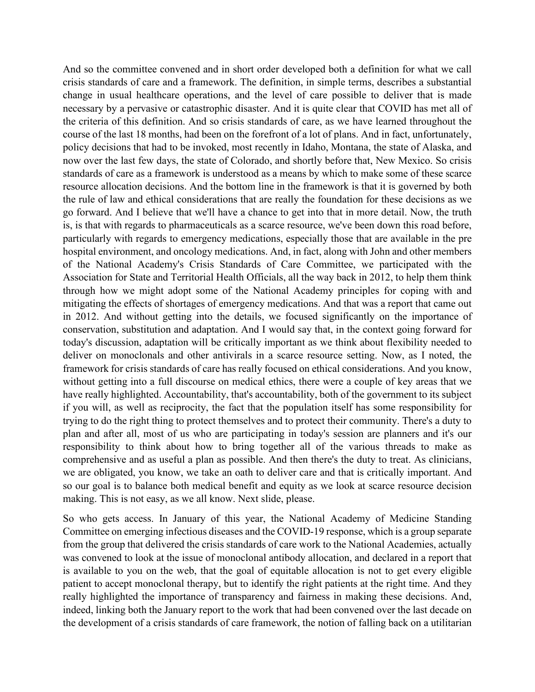And so the committee convened and in short order developed both a definition for what we call Association for State and Territorial Health Officials, all the way back in 2012, to help them think trying to do the right thing to protect themselves and to protect their community. There's a duty to responsibility to think about how to bring together all of the various threads to make as crisis standards of care and a framework. The definition, in simple terms, describes a substantial change in usual healthcare operations, and the level of care possible to deliver that is made necessary by a pervasive or catastrophic disaster. And it is quite clear that COVID has met all of the criteria of this definition. And so crisis standards of care, as we have learned throughout the course of the last 18 months, had been on the forefront of a lot of plans. And in fact, unfortunately, policy decisions that had to be invoked, most recently in Idaho, Montana, the state of Alaska, and now over the last few days, the state of Colorado, and shortly before that, New Mexico. So crisis standards of care as a framework is understood as a means by which to make some of these scarce resource allocation decisions. And the bottom line in the framework is that it is governed by both the rule of law and ethical considerations that are really the foundation for these decisions as we go forward. And I believe that we'll have a chance to get into that in more detail. Now, the truth is, is that with regards to pharmaceuticals as a scarce resource, we've been down this road before, particularly with regards to emergency medications, especially those that are available in the pre hospital environment, and oncology medications. And, in fact, along with John and other members of the National Academy's Crisis Standards of Care Committee, we participated with the through how we might adopt some of the National Academy principles for coping with and mitigating the effects of shortages of emergency medications. And that was a report that came out in 2012. And without getting into the details, we focused significantly on the importance of conservation, substitution and adaptation. And I would say that, in the context going forward for today's discussion, adaptation will be critically important as we think about flexibility needed to deliver on monoclonals and other antivirals in a scarce resource setting. Now, as I noted, the framework for crisis standards of care has really focused on ethical considerations. And you know, without getting into a full discourse on medical ethics, there were a couple of key areas that we have really highlighted. Accountability, that's accountability, both of the government to its subject if you will, as well as reciprocity, the fact that the population itself has some responsibility for plan and after all, most of us who are participating in today's session are planners and it's our comprehensive and as useful a plan as possible. And then there's the duty to treat. As clinicians, we are obligated, you know, we take an oath to deliver care and that is critically important. And so our goal is to balance both medical benefit and equity as we look at scarce resource decision making. This is not easy, as we all know. Next slide, please.

So who gets access. In January of this year, the National Academy of Medicine Standing Committee on emerging infectious diseases and the COVID-19 response, which is a group separate from the group that delivered the crisis standards of care work to the National Academies, actually was convened to look at the issue of monoclonal antibody allocation, and declared in a report that is available to you on the web, that the goal of equitable allocation is not to get every eligible patient to accept monoclonal therapy, but to identify the right patients at the right time. And they really highlighted the importance of transparency and fairness in making these decisions. And, indeed, linking both the January report to the work that had been convened over the last decade on the development of a crisis standards of care framework, the notion of falling back on a utilitarian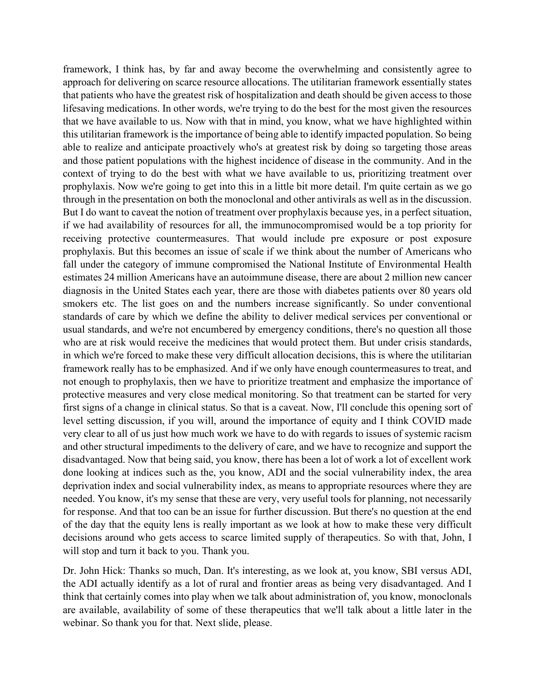done looking at indices such as the, you know, ADI and the social vulnerability index, the area decisions around who gets access to scarce limited supply of therapeutics. So with that, John, I framework, I think has, by far and away become the overwhelming and consistently agree to approach for delivering on scarce resource allocations. The utilitarian framework essentially states that patients who have the greatest risk of hospitalization and death should be given access to those lifesaving medications. In other words, we're trying to do the best for the most given the resources that we have available to us. Now with that in mind, you know, what we have highlighted within this utilitarian framework is the importance of being able to identify impacted population. So being able to realize and anticipate proactively who's at greatest risk by doing so targeting those areas and those patient populations with the highest incidence of disease in the community. And in the context of trying to do the best with what we have available to us, prioritizing treatment over prophylaxis. Now we're going to get into this in a little bit more detail. I'm quite certain as we go through in the presentation on both the monoclonal and other antivirals as well as in the discussion. But I do want to caveat the notion of treatment over prophylaxis because yes, in a perfect situation, if we had availability of resources for all, the immunocompromised would be a top priority for receiving protective countermeasures. That would include pre exposure or post exposure prophylaxis. But this becomes an issue of scale if we think about the number of Americans who fall under the category of immune compromised the National Institute of Environmental Health estimates 24 million Americans have an autoimmune disease, there are about 2 million new cancer diagnosis in the United States each year, there are those with diabetes patients over 80 years old smokers etc. The list goes on and the numbers increase significantly. So under conventional standards of care by which we define the ability to deliver medical services per conventional or usual standards, and we're not encumbered by emergency conditions, there's no question all those who are at risk would receive the medicines that would protect them. But under crisis standards, in which we're forced to make these very difficult allocation decisions, this is where the utilitarian framework really has to be emphasized. And if we only have enough countermeasures to treat, and not enough to prophylaxis, then we have to prioritize treatment and emphasize the importance of protective measures and very close medical monitoring. So that treatment can be started for very first signs of a change in clinical status. So that is a caveat. Now, I'll conclude this opening sort of level setting discussion, if you will, around the importance of equity and I think COVID made very clear to all of us just how much work we have to do with regards to issues of systemic racism and other structural impediments to the delivery of care, and we have to recognize and support the disadvantaged. Now that being said, you know, there has been a lot of work a lot of excellent work deprivation index and social vulnerability index, as means to appropriate resources where they are needed. You know, it's my sense that these are very, very useful tools for planning, not necessarily for response. And that too can be an issue for further discussion. But there's no question at the end of the day that the equity lens is really important as we look at how to make these very difficult will stop and turn it back to you. Thank you.

Dr. John Hick: Thanks so much, Dan. It's interesting, as we look at, you know, SBI versus ADI, the ADI actually identify as a lot of rural and frontier areas as being very disadvantaged. And I think that certainly comes into play when we talk about administration of, you know, monoclonals are available, availability of some of these therapeutics that we'll talk about a little later in the webinar. So thank you for that. Next slide, please.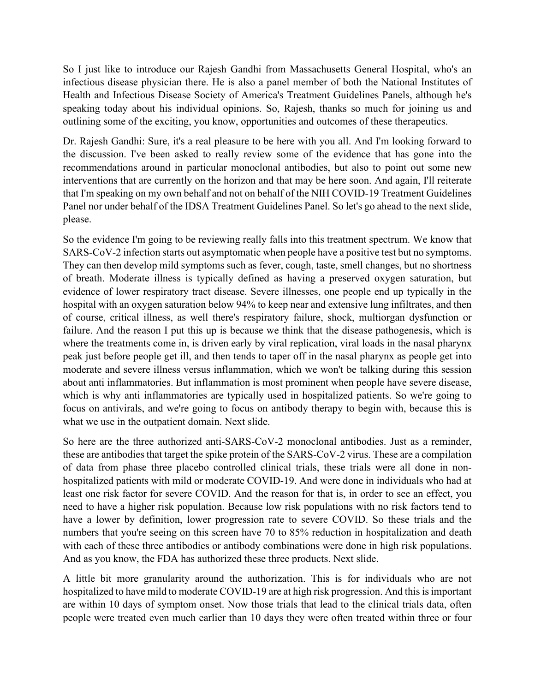So I just like to introduce our Rajesh Gandhi from Massachusetts General Hospital, who's an infectious disease physician there. He is also a panel member of both the National Institutes of Health and Infectious Disease Society of America's Treatment Guidelines Panels, although he's speaking today about his individual opinions. So, Rajesh, thanks so much for joining us and outlining some of the exciting, you know, opportunities and outcomes of these therapeutics.

 Dr. Rajesh Gandhi: Sure, it's a real pleasure to be here with you all. And I'm looking forward to the discussion. I've been asked to really review some of the evidence that has gone into the recommendations around in particular monoclonal antibodies, but also to point out some new interventions that are currently on the horizon and that may be here soon. And again, I'll reiterate that I'm speaking on my own behalf and not on behalf of the NIH COVID-19 Treatment Guidelines Panel nor under behalf of the IDSA Treatment Guidelines Panel. So let's go ahead to the next slide, please.

 SARS-CoV-2 infection starts out asymptomatic when people have a positive test but no symptoms. So the evidence I'm going to be reviewing really falls into this treatment spectrum. We know that They can then develop mild symptoms such as fever, cough, taste, smell changes, but no shortness of breath. Moderate illness is typically defined as having a preserved oxygen saturation, but evidence of lower respiratory tract disease. Severe illnesses, one people end up typically in the hospital with an oxygen saturation below 94% to keep near and extensive lung infiltrates, and then of course, critical illness, as well there's respiratory failure, shock, multiorgan dysfunction or failure. And the reason I put this up is because we think that the disease pathogenesis, which is where the treatments come in, is driven early by viral replication, viral loads in the nasal pharynx peak just before people get ill, and then tends to taper off in the nasal pharynx as people get into moderate and severe illness versus inflammation, which we won't be talking during this session about anti inflammatories. But inflammation is most prominent when people have severe disease, which is why anti inflammatories are typically used in hospitalized patients. So we're going to focus on antivirals, and we're going to focus on antibody therapy to begin with, because this is what we use in the outpatient domain. Next slide.

So here are the three authorized anti-SARS-CoV-2 monoclonal antibodies. Just as a reminder, these are antibodies that target the spike protein of the SARS-CoV-2 virus. These are a compilation of data from phase three placebo controlled clinical trials, these trials were all done in nonhospitalized patients with mild or moderate COVID-19. And were done in individuals who had at least one risk factor for severe COVID. And the reason for that is, in order to see an effect, you need to have a higher risk population. Because low risk populations with no risk factors tend to have a lower by definition, lower progression rate to severe COVID. So these trials and the numbers that you're seeing on this screen have 70 to 85% reduction in hospitalization and death with each of these three antibodies or antibody combinations were done in high risk populations. And as you know, the FDA has authorized these three products. Next slide.

A little bit more granularity around the authorization. This is for individuals who are not hospitalized to have mild to moderate COVID-19 are at high risk progression. And this is important are within 10 days of symptom onset. Now those trials that lead to the clinical trials data, often people were treated even much earlier than 10 days they were often treated within three or four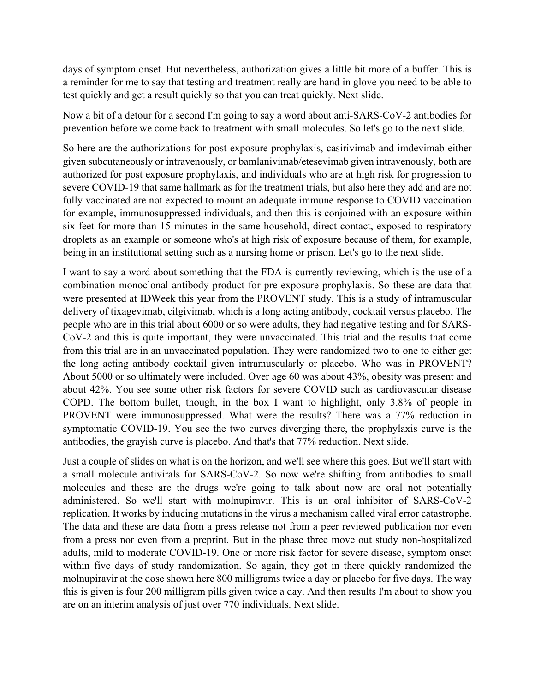a reminder for me to say that testing and treatment really are hand in glove you need to be able to days of symptom onset. But nevertheless, authorization gives a little bit more of a buffer. This is test quickly and get a result quickly so that you can treat quickly. Next slide.

Now a bit of a detour for a second I'm going to say a word about anti-SARS-CoV-2 antibodies for prevention before we come back to treatment with small molecules. So let's go to the next slide.

being in an institutional setting such as a nursing home or prison. Let's go to the next slide. So here are the authorizations for post exposure prophylaxis, casirivimab and imdevimab either given subcutaneously or intravenously, or bamlanivimab/etesevimab given intravenously, both are authorized for post exposure prophylaxis, and individuals who are at high risk for progression to severe COVID-19 that same hallmark as for the treatment trials, but also here they add and are not fully vaccinated are not expected to mount an adequate immune response to COVID vaccination for example, immunosuppressed individuals, and then this is conjoined with an exposure within six feet for more than 15 minutes in the same household, direct contact, exposed to respiratory droplets as an example or someone who's at high risk of exposure because of them, for example,

 delivery of tixagevimab, cilgivimab, which is a long acting antibody, cocktail versus placebo. The About 5000 or so ultimately were included. Over age 60 was about 43%, obesity was present and about 42%. You see some other risk factors for severe COVID such as cardiovascular disease I want to say a word about something that the FDA is currently reviewing, which is the use of a combination monoclonal antibody product for pre-exposure prophylaxis. So these are data that were presented at IDWeek this year from the PROVENT study. This is a study of intramuscular people who are in this trial about 6000 or so were adults, they had negative testing and for SARS-CoV-2 and this is quite important, they were unvaccinated. This trial and the results that come from this trial are in an unvaccinated population. They were randomized two to one to either get the long acting antibody cocktail given intramuscularly or placebo. Who was in PROVENT? COPD. The bottom bullet, though, in the box I want to highlight, only 3.8% of people in PROVENT were immunosuppressed. What were the results? There was a 77% reduction in symptomatic COVID-19. You see the two curves diverging there, the prophylaxis curve is the antibodies, the grayish curve is placebo. And that's that 77% reduction. Next slide.

Just a couple of slides on what is on the horizon, and we'll see where this goes. But we'll start with a small molecule antivirals for SARS-CoV-2. So now we're shifting from antibodies to small molecules and these are the drugs we're going to talk about now are oral not potentially administered. So we'll start with molnupiravir. This is an oral inhibitor of SARS-CoV-2 replication. It works by inducing mutations in the virus a mechanism called viral error catastrophe. The data and these are data from a press release not from a peer reviewed publication nor even from a press nor even from a preprint. But in the phase three move out study non-hospitalized adults, mild to moderate COVID-19. One or more risk factor for severe disease, symptom onset within five days of study randomization. So again, they got in there quickly randomized the molnupiravir at the dose shown here 800 milligrams twice a day or placebo for five days. The way this is given is four 200 milligram pills given twice a day. And then results I'm about to show you are on an interim analysis of just over 770 individuals. Next slide.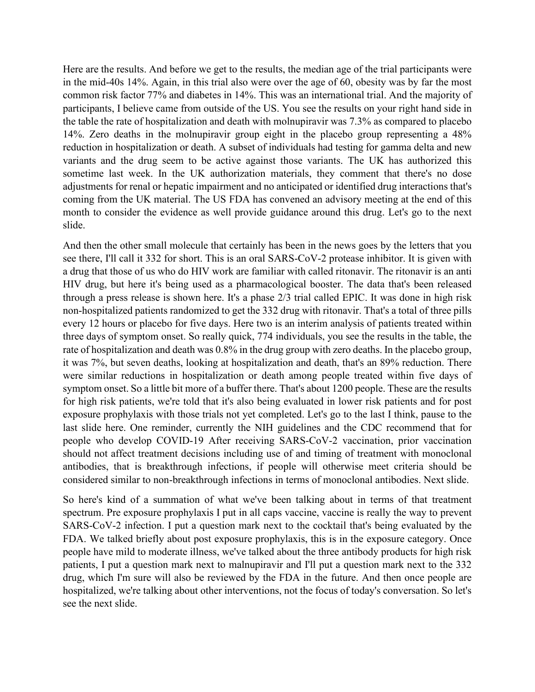14%. Zero deaths in the molnupiravir group eight in the placebo group representing a 48% month to consider the evidence as well provide guidance around this drug. Let's go to the next slide. Here are the results. And before we get to the results, the median age of the trial participants were in the mid-40s 14%. Again, in this trial also were over the age of 60, obesity was by far the most common risk factor 77% and diabetes in 14%. This was an international trial. And the majority of participants, I believe came from outside of the US. You see the results on your right hand side in the table the rate of hospitalization and death with molnupiravir was 7.3% as compared to placebo reduction in hospitalization or death. A subset of individuals had testing for gamma delta and new variants and the drug seem to be active against those variants. The UK has authorized this sometime last week. In the UK authorization materials, they comment that there's no dose adjustments for renal or hepatic impairment and no anticipated or identified drug interactions that's coming from the UK material. The US FDA has convened an advisory meeting at the end of this

 through a press release is shown here. It's a phase 2/3 trial called EPIC. It was done in high risk considered similar to non-breakthrough infections in terms of monoclonal antibodies. Next slide. And then the other small molecule that certainly has been in the news goes by the letters that you see there, I'll call it 332 for short. This is an oral SARS-CoV-2 protease inhibitor. It is given with a drug that those of us who do HIV work are familiar with called ritonavir. The ritonavir is an anti HIV drug, but here it's being used as a pharmacological booster. The data that's been released non-hospitalized patients randomized to get the 332 drug with ritonavir. That's a total of three pills every 12 hours or placebo for five days. Here two is an interim analysis of patients treated within three days of symptom onset. So really quick, 774 individuals, you see the results in the table, the rate of hospitalization and death was 0.8% in the drug group with zero deaths. In the placebo group, it was 7%, but seven deaths, looking at hospitalization and death, that's an 89% reduction. There were similar reductions in hospitalization or death among people treated within five days of symptom onset. So a little bit more of a buffer there. That's about 1200 people. These are the results for high risk patients, we're told that it's also being evaluated in lower risk patients and for post exposure prophylaxis with those trials not yet completed. Let's go to the last I think, pause to the last slide here. One reminder, currently the NIH guidelines and the CDC recommend that for people who develop COVID-19 After receiving SARS-CoV-2 vaccination, prior vaccination should not affect treatment decisions including use of and timing of treatment with monoclonal antibodies, that is breakthrough infections, if people will otherwise meet criteria should be

 drug, which I'm sure will also be reviewed by the FDA in the future. And then once people are So here's kind of a summation of what we've been talking about in terms of that treatment spectrum. Pre exposure prophylaxis I put in all caps vaccine, vaccine is really the way to prevent SARS-CoV-2 infection. I put a question mark next to the cocktail that's being evaluated by the FDA. We talked briefly about post exposure prophylaxis, this is in the exposure category. Once people have mild to moderate illness, we've talked about the three antibody products for high risk patients, I put a question mark next to malnupiravir and I'll put a question mark next to the 332 hospitalized, we're talking about other interventions, not the focus of today's conversation. So let's see the next slide.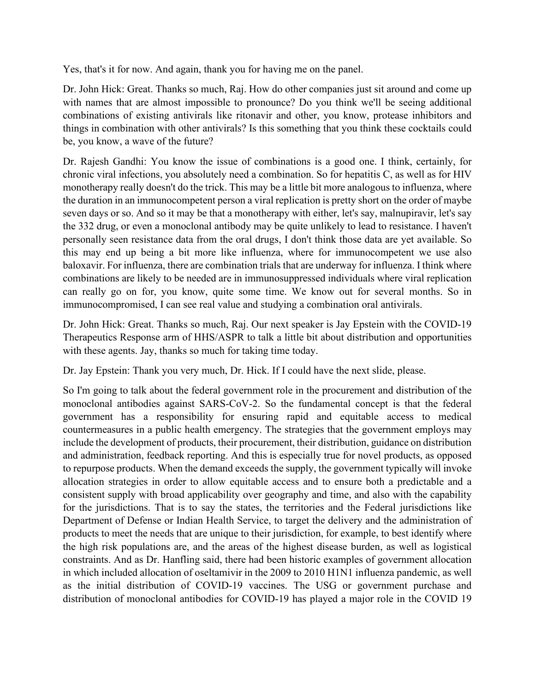Yes, that's it for now. And again, thank you for having me on the panel.

 with names that are almost impossible to pronounce? Do you think we'll be seeing additional combinations of existing antivirals like ritonavir and other, you know, protease inhibitors and things in combination with other antivirals? Is this something that you think these cocktails could Dr. John Hick: Great. Thanks so much, Raj. How do other companies just sit around and come up be, you know, a wave of the future?

 the 332 drug, or even a monoclonal antibody may be quite unlikely to lead to resistance. I haven't immunocompromised, I can see real value and studying a combination oral antivirals. Dr. Rajesh Gandhi: You know the issue of combinations is a good one. I think, certainly, for chronic viral infections, you absolutely need a combination. So for hepatitis C, as well as for HIV monotherapy really doesn't do the trick. This may be a little bit more analogous to influenza, where the duration in an immunocompetent person a viral replication is pretty short on the order of maybe seven days or so. And so it may be that a monotherapy with either, let's say, malnupiravir, let's say personally seen resistance data from the oral drugs, I don't think those data are yet available. So this may end up being a bit more like influenza, where for immunocompetent we use also baloxavir. For influenza, there are combination trials that are underway for influenza. I think where combinations are likely to be needed are in immunosuppressed individuals where viral replication can really go on for, you know, quite some time. We know out for several months. So in

Dr. John Hick: Great. Thanks so much, Raj. Our next speaker is Jay Epstein with the COVID-19 Therapeutics Response arm of HHS/ASPR to talk a little bit about distribution and opportunities with these agents. Jay, thanks so much for taking time today.

Dr. Jay Epstein: Thank you very much, Dr. Hick. If I could have the next slide, please.

So I'm going to talk about the federal government role in the procurement and distribution of the monoclonal antibodies against SARS-CoV-2. So the fundamental concept is that the federal government has a responsibility for ensuring rapid and equitable access to medical countermeasures in a public health emergency. The strategies that the government employs may include the development of products, their procurement, their distribution, guidance on distribution and administration, feedback reporting. And this is especially true for novel products, as opposed to repurpose products. When the demand exceeds the supply, the government typically will invoke allocation strategies in order to allow equitable access and to ensure both a predictable and a consistent supply with broad applicability over geography and time, and also with the capability for the jurisdictions. That is to say the states, the territories and the Federal jurisdictions like Department of Defense or Indian Health Service, to target the delivery and the administration of products to meet the needs that are unique to their jurisdiction, for example, to best identify where the high risk populations are, and the areas of the highest disease burden, as well as logistical constraints. And as Dr. Hanfling said, there had been historic examples of government allocation in which included allocation of oseltamivir in the 2009 to 2010 H1N1 influenza pandemic, as well as the initial distribution of COVID-19 vaccines. The USG or government purchase and distribution of monoclonal antibodies for COVID-19 has played a major role in the COVID 19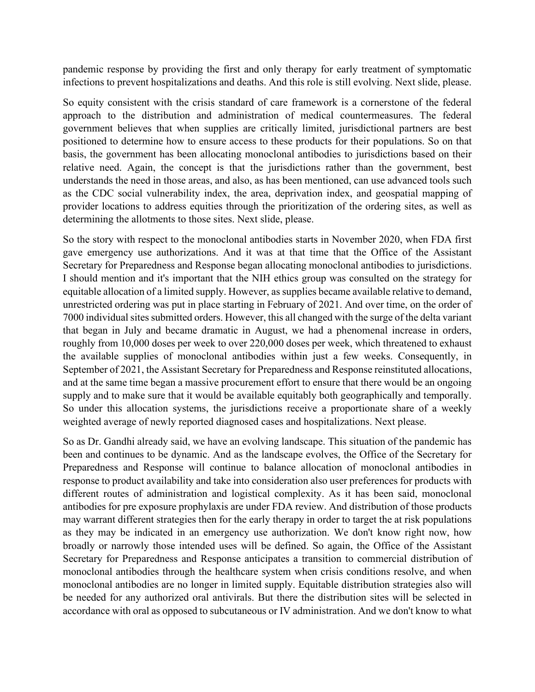pandemic response by providing the first and only therapy for early treatment of symptomatic infections to prevent hospitalizations and deaths. And this role is still evolving. Next slide, please.

 So equity consistent with the crisis standard of care framework is a cornerstone of the federal determining the allotments to those sites. Next slide, please. approach to the distribution and administration of medical countermeasures. The federal government believes that when supplies are critically limited, jurisdictional partners are best positioned to determine how to ensure access to these products for their populations. So on that basis, the government has been allocating monoclonal antibodies to jurisdictions based on their relative need. Again, the concept is that the jurisdictions rather than the government, best understands the need in those areas, and also, as has been mentioned, can use advanced tools such as the CDC social vulnerability index, the area, deprivation index, and geospatial mapping of provider locations to address equities through the prioritization of the ordering sites, as well as

 So under this allocation systems, the jurisdictions receive a proportionate share of a weekly So the story with respect to the monoclonal antibodies starts in November 2020, when FDA first gave emergency use authorizations. And it was at that time that the Office of the Assistant Secretary for Preparedness and Response began allocating monoclonal antibodies to jurisdictions. I should mention and it's important that the NIH ethics group was consulted on the strategy for equitable allocation of a limited supply. However, as supplies became available relative to demand, unrestricted ordering was put in place starting in February of 2021. And over time, on the order of 7000 individual sites submitted orders. However, this all changed with the surge of the delta variant that began in July and became dramatic in August, we had a phenomenal increase in orders, roughly from 10,000 doses per week to over 220,000 doses per week, which threatened to exhaust the available supplies of monoclonal antibodies within just a few weeks. Consequently, in September of 2021, the Assistant Secretary for Preparedness and Response reinstituted allocations, and at the same time began a massive procurement effort to ensure that there would be an ongoing supply and to make sure that it would be available equitably both geographically and temporally. weighted average of newly reported diagnosed cases and hospitalizations. Next please.

 different routes of administration and logistical complexity. As it has been said, monoclonal So as Dr. Gandhi already said, we have an evolving landscape. This situation of the pandemic has been and continues to be dynamic. And as the landscape evolves, the Office of the Secretary for Preparedness and Response will continue to balance allocation of monoclonal antibodies in response to product availability and take into consideration also user preferences for products with antibodies for pre exposure prophylaxis are under FDA review. And distribution of those products may warrant different strategies then for the early therapy in order to target the at risk populations as they may be indicated in an emergency use authorization. We don't know right now, how broadly or narrowly those intended uses will be defined. So again, the Office of the Assistant Secretary for Preparedness and Response anticipates a transition to commercial distribution of monoclonal antibodies through the healthcare system when crisis conditions resolve, and when monoclonal antibodies are no longer in limited supply. Equitable distribution strategies also will be needed for any authorized oral antivirals. But there the distribution sites will be selected in accordance with oral as opposed to subcutaneous or IV administration. And we don't know to what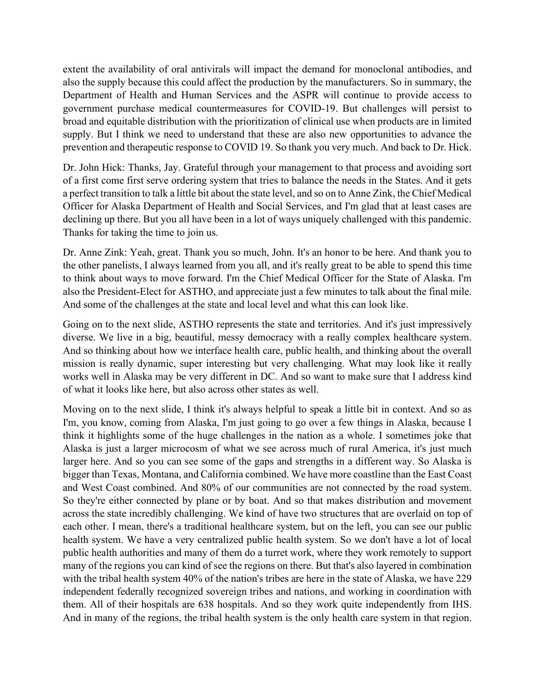extent the availability of oral antivirals will impact the demand for monoclonal antibodies, and also the supply because this could affect the production by the manufacturers. So in summary, the Department of Health and Human Services and the ASPR will continue to provide access to government purchase medical countermeasures for COVID-19. But challenges will persist to broad and equitable distribution with the prioritization of clinical use when products are in limited supply. But I think we need to understand that these are also new opportunities to advance the prevention and therapeutic response to COVID 19. So thank you very much. And back to Dr. Hick.

 Officer for Alaska Department of Health and Social Services, and I'm glad that at least cases are Dr. John Hick: Thanks, Jay. Grateful through your management to that process and avoiding sort of a first come first serve ordering system that tries to balance the needs in the States. And it gets a perfect transition to talk a little bit about the state level, and so on to Anne Zink, the Chief Medical declining up there. But you all have been in a lot of ways uniquely challenged with this pandemic. Thanks for taking the time to join us.

 to think about ways to move forward. I'm the Chief Medical Officer for the State of Alaska. I'm Dr. Anne Zink: Yeah, great. Thank you so much, John. It's an honor to be here. And thank you to the other panelists, I always learned from you all, and it's really great to be able to spend this time also the President-Elect for ASTHO, and appreciate just a few minutes to talk about the final mile. And some of the challenges at the state and local level and what this can look like.

 works well in Alaska may be very different in DC. And so want to make sure that I address kind Going on to the next slide, ASTHO represents the state and territories. And it's just impressively diverse. We live in a big, beautiful, messy democracy with a really complex healthcare system. And so thinking about how we interface health care, public health, and thinking about the overall mission is really dynamic, super interesting but very challenging. What may look like it really of what it looks like here, but also across other states as well.

 I'm, you know, coming from Alaska, I'm just going to go over a few things in Alaska, because I them. All of their hospitals are 638 hospitals. And so they work quite independently from IHS. Moving on to the next slide, I think it's always helpful to speak a little bit in context. And so as think it highlights some of the huge challenges in the nation as a whole. I sometimes joke that Alaska is just a larger microcosm of what we see across much of rural America, it's just much larger here. And so you can see some of the gaps and strengths in a different way. So Alaska is bigger than Texas, Montana, and California combined. We have more coastline than the East Coast and West Coast combined. And 80% of our communities are not connected by the road system. So they're either connected by plane or by boat. And so that makes distribution and movement across the state incredibly challenging. We kind of have two structures that are overlaid on top of each other. I mean, there's a traditional healthcare system, but on the left, you can see our public health system. We have a very centralized public health system. So we don't have a lot of local public health authorities and many of them do a turret work, where they work remotely to support many of the regions you can kind of see the regions on there. But that's also layered in combination with the tribal health system 40% of the nation's tribes are here in the state of Alaska, we have 229 independent federally recognized sovereign tribes and nations, and working in coordination with And in many of the regions, the tribal health system is the only health care system in that region.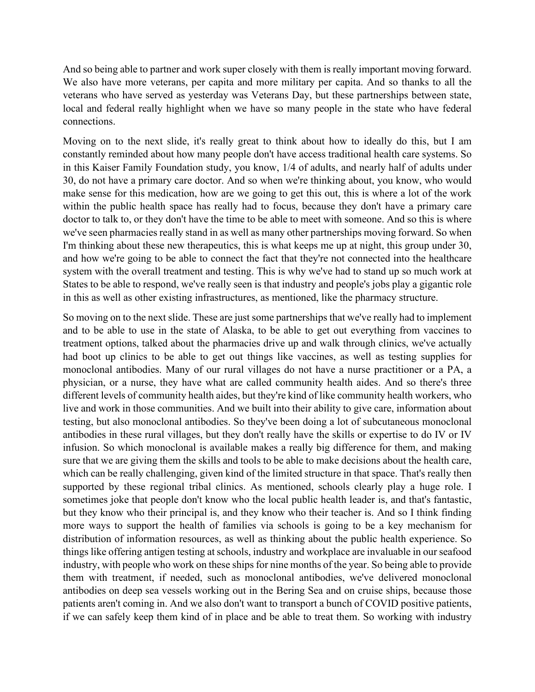And so being able to partner and work super closely with them is really important moving forward. We also have more veterans, per capita and more military per capita. And so thanks to all the veterans who have served as yesterday was Veterans Day, but these partnerships between state, local and federal really highlight when we have so many people in the state who have federal connections.

 doctor to talk to, or they don't have the time to be able to meet with someone. And so this is where Moving on to the next slide, it's really great to think about how to ideally do this, but I am constantly reminded about how many people don't have access traditional health care systems. So in this Kaiser Family Foundation study, you know, 1/4 of adults, and nearly half of adults under 30, do not have a primary care doctor. And so when we're thinking about, you know, who would make sense for this medication, how are we going to get this out, this is where a lot of the work within the public health space has really had to focus, because they don't have a primary care we've seen pharmacies really stand in as well as many other partnerships moving forward. So when I'm thinking about these new therapeutics, this is what keeps me up at night, this group under 30, and how we're going to be able to connect the fact that they're not connected into the healthcare system with the overall treatment and testing. This is why we've had to stand up so much work at States to be able to respond, we've really seen is that industry and people's jobs play a gigantic role in this as well as other existing infrastructures, as mentioned, like the pharmacy structure.

 antibodies in these rural villages, but they don't really have the skills or expertise to do IV or IV infusion. So which monoclonal is available makes a really big difference for them, and making supported by these regional tribal clinics. As mentioned, schools clearly play a huge role. I distribution of information resources, as well as thinking about the public health experience. So So moving on to the next slide. These are just some partnerships that we've really had to implement and to be able to use in the state of Alaska, to be able to get out everything from vaccines to treatment options, talked about the pharmacies drive up and walk through clinics, we've actually had boot up clinics to be able to get out things like vaccines, as well as testing supplies for monoclonal antibodies. Many of our rural villages do not have a nurse practitioner or a PA, a physician, or a nurse, they have what are called community health aides. And so there's three different levels of community health aides, but they're kind of like community health workers, who live and work in those communities. And we built into their ability to give care, information about testing, but also monoclonal antibodies. So they've been doing a lot of subcutaneous monoclonal sure that we are giving them the skills and tools to be able to make decisions about the health care, which can be really challenging, given kind of the limited structure in that space. That's really then sometimes joke that people don't know who the local public health leader is, and that's fantastic, but they know who their principal is, and they know who their teacher is. And so I think finding more ways to support the health of families via schools is going to be a key mechanism for things like offering antigen testing at schools, industry and workplace are invaluable in our seafood industry, with people who work on these ships for nine months of the year. So being able to provide them with treatment, if needed, such as monoclonal antibodies, we've delivered monoclonal antibodies on deep sea vessels working out in the Bering Sea and on cruise ships, because those patients aren't coming in. And we also don't want to transport a bunch of COVID positive patients, if we can safely keep them kind of in place and be able to treat them. So working with industry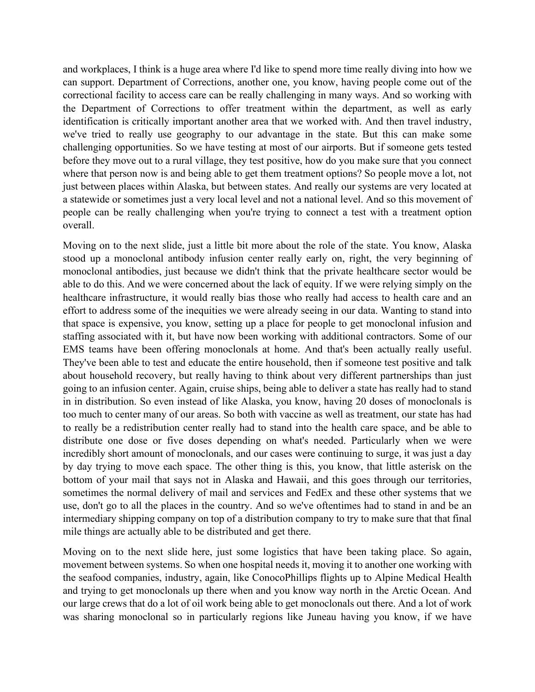where that person now is and being able to get them treatment options? So people move a lot, not and workplaces, I think is a huge area where I'd like to spend more time really diving into how we can support. Department of Corrections, another one, you know, having people come out of the correctional facility to access care can be really challenging in many ways. And so working with the Department of Corrections to offer treatment within the department, as well as early identification is critically important another area that we worked with. And then travel industry, we've tried to really use geography to our advantage in the state. But this can make some challenging opportunities. So we have testing at most of our airports. But if someone gets tested before they move out to a rural village, they test positive, how do you make sure that you connect just between places within Alaska, but between states. And really our systems are very located at a statewide or sometimes just a very local level and not a national level. And so this movement of people can be really challenging when you're trying to connect a test with a treatment option overall.

 stood up a monoclonal antibody infusion center really early on, right, the very beginning of incredibly short amount of monoclonals, and our cases were continuing to surge, it was just a day Moving on to the next slide, just a little bit more about the role of the state. You know, Alaska monoclonal antibodies, just because we didn't think that the private healthcare sector would be able to do this. And we were concerned about the lack of equity. If we were relying simply on the healthcare infrastructure, it would really bias those who really had access to health care and an effort to address some of the inequities we were already seeing in our data. Wanting to stand into that space is expensive, you know, setting up a place for people to get monoclonal infusion and staffing associated with it, but have now been working with additional contractors. Some of our EMS teams have been offering monoclonals at home. And that's been actually really useful. They've been able to test and educate the entire household, then if someone test positive and talk about household recovery, but really having to think about very different partnerships than just going to an infusion center. Again, cruise ships, being able to deliver a state has really had to stand in in distribution. So even instead of like Alaska, you know, having 20 doses of monoclonals is too much to center many of our areas. So both with vaccine as well as treatment, our state has had to really be a redistribution center really had to stand into the health care space, and be able to distribute one dose or five doses depending on what's needed. Particularly when we were by day trying to move each space. The other thing is this, you know, that little asterisk on the bottom of your mail that says not in Alaska and Hawaii, and this goes through our territories, sometimes the normal delivery of mail and services and FedEx and these other systems that we use, don't go to all the places in the country. And so we've oftentimes had to stand in and be an intermediary shipping company on top of a distribution company to try to make sure that that final mile things are actually able to be distributed and get there.

 was sharing monoclonal so in particularly regions like Juneau having you know, if we have Moving on to the next slide here, just some logistics that have been taking place. So again, movement between systems. So when one hospital needs it, moving it to another one working with the seafood companies, industry, again, like ConocoPhillips flights up to Alpine Medical Health and trying to get monoclonals up there when and you know way north in the Arctic Ocean. And our large crews that do a lot of oil work being able to get monoclonals out there. And a lot of work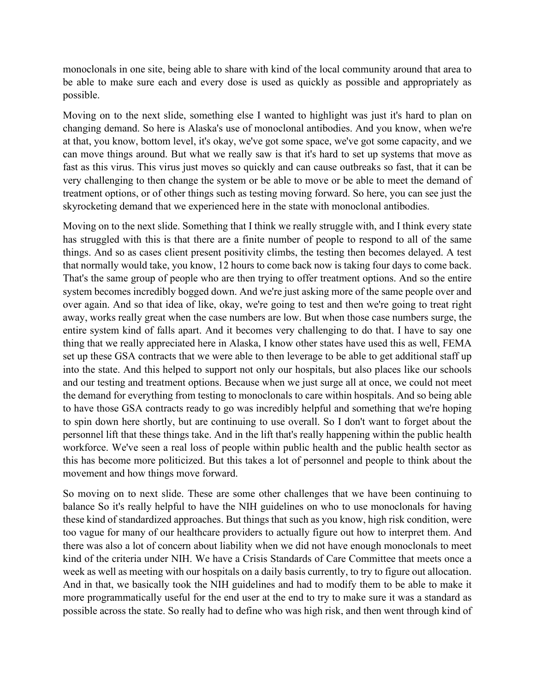monoclonals in one site, being able to share with kind of the local community around that area to be able to make sure each and every dose is used as quickly as possible and appropriately as possible.

Moving on to the next slide, something else I wanted to highlight was just it's hard to plan on changing demand. So here is Alaska's use of monoclonal antibodies. And you know, when we're at that, you know, bottom level, it's okay, we've got some space, we've got some capacity, and we can move things around. But what we really saw is that it's hard to set up systems that move as fast as this virus. This virus just moves so quickly and can cause outbreaks so fast, that it can be very challenging to then change the system or be able to move or be able to meet the demand of treatment options, or of other things such as testing moving forward. So here, you can see just the skyrocketing demand that we experienced here in the state with monoclonal antibodies.

 away, works really great when the case numbers are low. But when those case numbers surge, the workforce. We've seen a real loss of people within public health and the public health sector as Moving on to the next slide. Something that I think we really struggle with, and I think every state has struggled with this is that there are a finite number of people to respond to all of the same things. And so as cases client present positivity climbs, the testing then becomes delayed. A test that normally would take, you know, 12 hours to come back now is taking four days to come back. That's the same group of people who are then trying to offer treatment options. And so the entire system becomes incredibly bogged down. And we're just asking more of the same people over and over again. And so that idea of like, okay, we're going to test and then we're going to treat right entire system kind of falls apart. And it becomes very challenging to do that. I have to say one thing that we really appreciated here in Alaska, I know other states have used this as well, FEMA set up these GSA contracts that we were able to then leverage to be able to get additional staff up into the state. And this helped to support not only our hospitals, but also places like our schools and our testing and treatment options. Because when we just surge all at once, we could not meet the demand for everything from testing to monoclonals to care within hospitals. And so being able to have those GSA contracts ready to go was incredibly helpful and something that we're hoping to spin down here shortly, but are continuing to use overall. So I don't want to forget about the personnel lift that these things take. And in the lift that's really happening within the public health this has become more politicized. But this takes a lot of personnel and people to think about the movement and how things move forward.

 there was also a lot of concern about liability when we did not have enough monoclonals to meet So moving on to next slide. These are some other challenges that we have been continuing to balance So it's really helpful to have the NIH guidelines on who to use monoclonals for having these kind of standardized approaches. But things that such as you know, high risk condition, were too vague for many of our healthcare providers to actually figure out how to interpret them. And kind of the criteria under NIH. We have a Crisis Standards of Care Committee that meets once a week as well as meeting with our hospitals on a daily basis currently, to try to figure out allocation. And in that, we basically took the NIH guidelines and had to modify them to be able to make it more programmatically useful for the end user at the end to try to make sure it was a standard as possible across the state. So really had to define who was high risk, and then went through kind of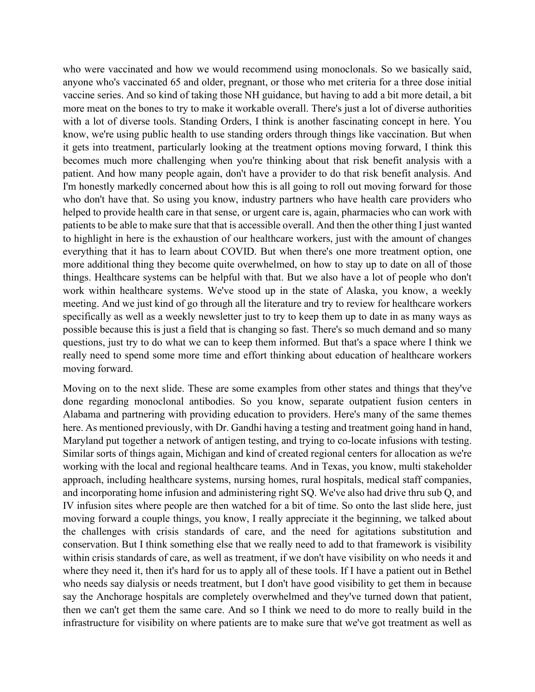specifically as well as a weekly newsletter just to try to keep them up to date in as many ways as questions, just try to do what we can to keep them informed. But that's a space where I think we who were vaccinated and how we would recommend using monoclonals. So we basically said, anyone who's vaccinated 65 and older, pregnant, or those who met criteria for a three dose initial vaccine series. And so kind of taking those NH guidance, but having to add a bit more detail, a bit more meat on the bones to try to make it workable overall. There's just a lot of diverse authorities with a lot of diverse tools. Standing Orders, I think is another fascinating concept in here. You know, we're using public health to use standing orders through things like vaccination. But when it gets into treatment, particularly looking at the treatment options moving forward, I think this becomes much more challenging when you're thinking about that risk benefit analysis with a patient. And how many people again, don't have a provider to do that risk benefit analysis. And I'm honestly markedly concerned about how this is all going to roll out moving forward for those who don't have that. So using you know, industry partners who have health care providers who helped to provide health care in that sense, or urgent care is, again, pharmacies who can work with patients to be able to make sure that that is accessible overall. And then the other thing I just wanted to highlight in here is the exhaustion of our healthcare workers, just with the amount of changes everything that it has to learn about COVID. But when there's one more treatment option, one more additional thing they become quite overwhelmed, on how to stay up to date on all of those things. Healthcare systems can be helpful with that. But we also have a lot of people who don't work within healthcare systems. We've stood up in the state of Alaska, you know, a weekly meeting. And we just kind of go through all the literature and try to review for healthcare workers possible because this is just a field that is changing so fast. There's so much demand and so many really need to spend some more time and effort thinking about education of healthcare workers moving forward.

 Maryland put together a network of antigen testing, and trying to co-locate infusions with testing. within crisis standards of care, as well as treatment, if we don't have visibility on who needs it and where they need it, then it's hard for us to apply all of these tools. If I have a patient out in Bethel Moving on to the next slide. These are some examples from other states and things that they've done regarding monoclonal antibodies. So you know, separate outpatient fusion centers in Alabama and partnering with providing education to providers. Here's many of the same themes here. As mentioned previously, with Dr. Gandhi having a testing and treatment going hand in hand, Similar sorts of things again, Michigan and kind of created regional centers for allocation as we're working with the local and regional healthcare teams. And in Texas, you know, multi stakeholder approach, including healthcare systems, nursing homes, rural hospitals, medical staff companies, and incorporating home infusion and administering right SQ. We've also had drive thru sub Q, and IV infusion sites where people are then watched for a bit of time. So onto the last slide here, just moving forward a couple things, you know, I really appreciate it the beginning, we talked about the challenges with crisis standards of care, and the need for agitations substitution and conservation. But I think something else that we really need to add to that framework is visibility who needs say dialysis or needs treatment, but I don't have good visibility to get them in because say the Anchorage hospitals are completely overwhelmed and they've turned down that patient, then we can't get them the same care. And so I think we need to do more to really build in the infrastructure for visibility on where patients are to make sure that we've got treatment as well as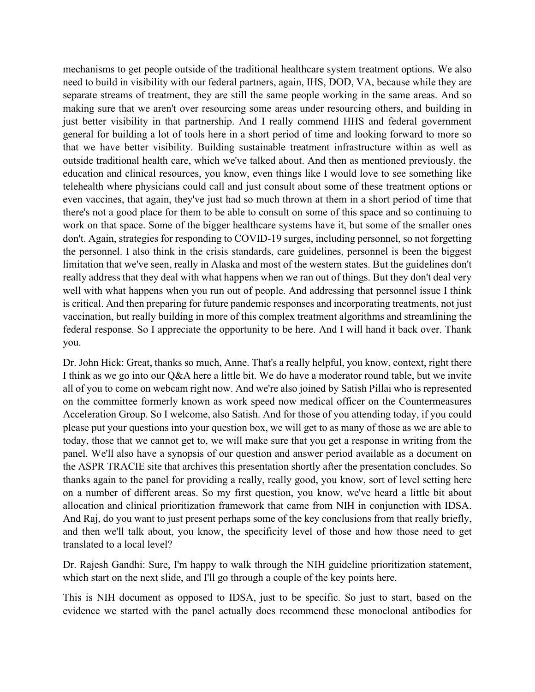separate streams of treatment, they are still the same people working in the same areas. And so that we have better visibility. Building sustainable treatment infrastructure within as well as mechanisms to get people outside of the traditional healthcare system treatment options. We also need to build in visibility with our federal partners, again, IHS, DOD, VA, because while they are making sure that we aren't over resourcing some areas under resourcing others, and building in just better visibility in that partnership. And I really commend HHS and federal government general for building a lot of tools here in a short period of time and looking forward to more so outside traditional health care, which we've talked about. And then as mentioned previously, the education and clinical resources, you know, even things like I would love to see something like telehealth where physicians could call and just consult about some of these treatment options or even vaccines, that again, they've just had so much thrown at them in a short period of time that there's not a good place for them to be able to consult on some of this space and so continuing to work on that space. Some of the bigger healthcare systems have it, but some of the smaller ones don't. Again, strategies for responding to COVID-19 surges, including personnel, so not forgetting the personnel. I also think in the crisis standards, care guidelines, personnel is been the biggest limitation that we've seen, really in Alaska and most of the western states. But the guidelines don't really address that they deal with what happens when we ran out of things. But they don't deal very well with what happens when you run out of people. And addressing that personnel issue I think is critical. And then preparing for future pandemic responses and incorporating treatments, not just vaccination, but really building in more of this complex treatment algorithms and streamlining the federal response. So I appreciate the opportunity to be here. And I will hand it back over. Thank you.

 Dr. John Hick: Great, thanks so much, Anne. That's a really helpful, you know, context, right there I think as we go into our Q&A here a little bit. We do have a moderator round table, but we invite panel. We'll also have a synopsis of our question and answer period available as a document on all of you to come on webcam right now. And we're also joined by Satish Pillai who is represented on the committee formerly known as work speed now medical officer on the Countermeasures Acceleration Group. So I welcome, also Satish. And for those of you attending today, if you could please put your questions into your question box, we will get to as many of those as we are able to today, those that we cannot get to, we will make sure that you get a response in writing from the the ASPR TRACIE site that archives this presentation shortly after the presentation concludes. So thanks again to the panel for providing a really, really good, you know, sort of level setting here on a number of different areas. So my first question, you know, we've heard a little bit about allocation and clinical prioritization framework that came from NIH in conjunction with IDSA. And Raj, do you want to just present perhaps some of the key conclusions from that really briefly, and then we'll talk about, you know, the specificity level of those and how those need to get translated to a local level?

 which start on the next slide, and I'll go through a couple of the key points here. Dr. Rajesh Gandhi: Sure, I'm happy to walk through the NIH guideline prioritization statement,

This is NIH document as opposed to IDSA, just to be specific. So just to start, based on the evidence we started with the panel actually does recommend these monoclonal antibodies for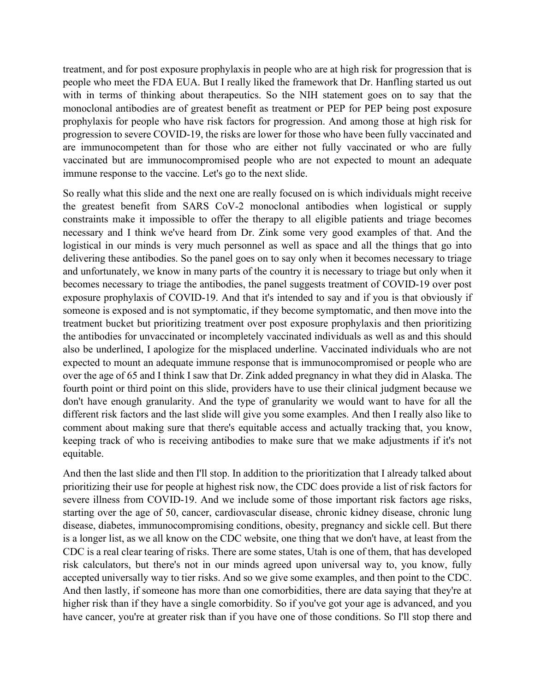people who meet the FDA EUA. But I really liked the framework that Dr. Hanfling started us out monoclonal antibodies are of greatest benefit as treatment or PEP for PEP being post exposure prophylaxis for people who have risk factors for progression. And among those at high risk for treatment, and for post exposure prophylaxis in people who are at high risk for progression that is with in terms of thinking about therapeutics. So the NIH statement goes on to say that the progression to severe COVID-19, the risks are lower for those who have been fully vaccinated and are immunocompetent than for those who are either not fully vaccinated or who are fully vaccinated but are immunocompromised people who are not expected to mount an adequate immune response to the vaccine. Let's go to the next slide.

 different risk factors and the last slide will give you some examples. And then I really also like to So really what this slide and the next one are really focused on is which individuals might receive the greatest benefit from SARS CoV-2 monoclonal antibodies when logistical or supply constraints make it impossible to offer the therapy to all eligible patients and triage becomes necessary and I think we've heard from Dr. Zink some very good examples of that. And the logistical in our minds is very much personnel as well as space and all the things that go into delivering these antibodies. So the panel goes on to say only when it becomes necessary to triage and unfortunately, we know in many parts of the country it is necessary to triage but only when it becomes necessary to triage the antibodies, the panel suggests treatment of COVID-19 over post exposure prophylaxis of COVID-19. And that it's intended to say and if you is that obviously if someone is exposed and is not symptomatic, if they become symptomatic, and then move into the treatment bucket but prioritizing treatment over post exposure prophylaxis and then prioritizing the antibodies for unvaccinated or incompletely vaccinated individuals as well as and this should also be underlined, I apologize for the misplaced underline. Vaccinated individuals who are not expected to mount an adequate immune response that is immunocompromised or people who are over the age of 65 and I think I saw that Dr. Zink added pregnancy in what they did in Alaska. The fourth point or third point on this slide, providers have to use their clinical judgment because we don't have enough granularity. And the type of granularity we would want to have for all the comment about making sure that there's equitable access and actually tracking that, you know, keeping track of who is receiving antibodies to make sure that we make adjustments if it's not equitable.

 prioritizing their use for people at highest risk now, the CDC does provide a list of risk factors for have cancer, you're at greater risk than if you have one of those conditions. So I'll stop there and And then the last slide and then I'll stop. In addition to the prioritization that I already talked about severe illness from COVID-19. And we include some of those important risk factors age risks, starting over the age of 50, cancer, cardiovascular disease, chronic kidney disease, chronic lung disease, diabetes, immunocompromising conditions, obesity, pregnancy and sickle cell. But there is a longer list, as we all know on the CDC website, one thing that we don't have, at least from the CDC is a real clear tearing of risks. There are some states, Utah is one of them, that has developed risk calculators, but there's not in our minds agreed upon universal way to, you know, fully accepted universally way to tier risks. And so we give some examples, and then point to the CDC. And then lastly, if someone has more than one comorbidities, there are data saying that they're at higher risk than if they have a single comorbidity. So if you've got your age is advanced, and you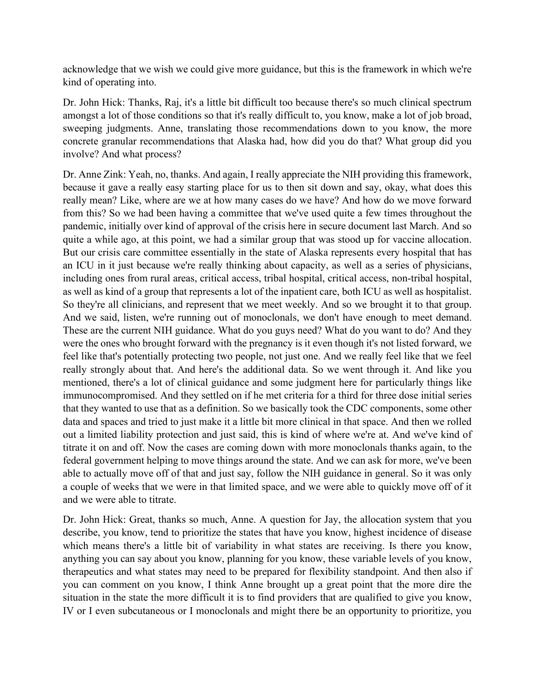acknowledge that we wish we could give more guidance, but this is the framework in which we're kind of operating into.

 amongst a lot of those conditions so that it's really difficult to, you know, make a lot of job broad, Dr. John Hick: Thanks, Raj, it's a little bit difficult too because there's so much clinical spectrum sweeping judgments. Anne, translating those recommendations down to you know, the more concrete granular recommendations that Alaska had, how did you do that? What group did you involve? And what process?

 Dr. Anne Zink: Yeah, no, thanks. And again, I really appreciate the NIH providing this framework, really mean? Like, where are we at how many cases do we have? And how do we move forward an ICU in it just because we're really thinking about capacity, as well as a series of physicians, including ones from rural areas, critical access, tribal hospital, critical access, non-tribal hospital, feel like that's potentially protecting two people, not just one. And we really feel like that we feel because it gave a really easy starting place for us to then sit down and say, okay, what does this from this? So we had been having a committee that we've used quite a few times throughout the pandemic, initially over kind of approval of the crisis here in secure document last March. And so quite a while ago, at this point, we had a similar group that was stood up for vaccine allocation. But our crisis care committee essentially in the state of Alaska represents every hospital that has as well as kind of a group that represents a lot of the inpatient care, both ICU as well as hospitalist. So they're all clinicians, and represent that we meet weekly. And so we brought it to that group. And we said, listen, we're running out of monoclonals, we don't have enough to meet demand. These are the current NIH guidance. What do you guys need? What do you want to do? And they were the ones who brought forward with the pregnancy is it even though it's not listed forward, we really strongly about that. And here's the additional data. So we went through it. And like you mentioned, there's a lot of clinical guidance and some judgment here for particularly things like immunocompromised. And they settled on if he met criteria for a third for three dose initial series that they wanted to use that as a definition. So we basically took the CDC components, some other data and spaces and tried to just make it a little bit more clinical in that space. And then we rolled out a limited liability protection and just said, this is kind of where we're at. And we've kind of titrate it on and off. Now the cases are coming down with more monoclonals thanks again, to the federal government helping to move things around the state. And we can ask for more, we've been able to actually move off of that and just say, follow the NIH guidance in general. So it was only a couple of weeks that we were in that limited space, and we were able to quickly move off of it and we were able to titrate.

 IV or I even subcutaneous or I monoclonals and might there be an opportunity to prioritize, you Dr. John Hick: Great, thanks so much, Anne. A question for Jay, the allocation system that you describe, you know, tend to prioritize the states that have you know, highest incidence of disease which means there's a little bit of variability in what states are receiving. Is there you know, anything you can say about you know, planning for you know, these variable levels of you know, therapeutics and what states may need to be prepared for flexibility standpoint. And then also if you can comment on you know, I think Anne brought up a great point that the more dire the situation in the state the more difficult it is to find providers that are qualified to give you know,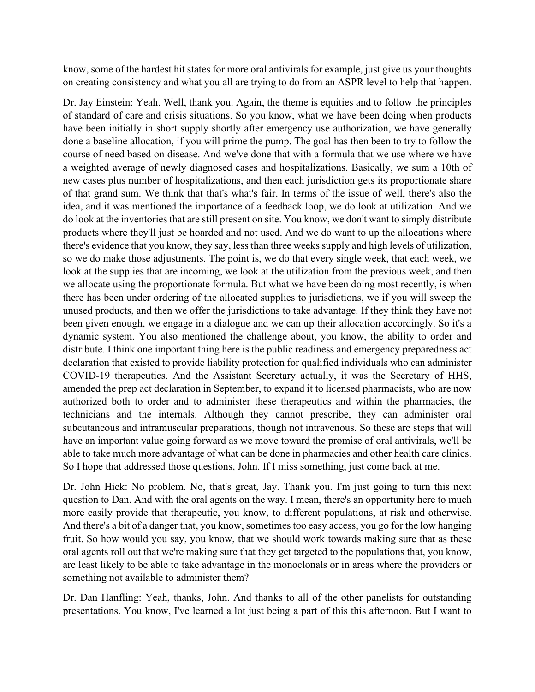know, some of the hardest hit states for more oral antivirals for example, just give us your thoughts on creating consistency and what you all are trying to do from an ASPR level to help that happen.

 done a baseline allocation, if you will prime the pump. The goal has then been to try to follow the Dr. Jay Einstein: Yeah. Well, thank you. Again, the theme is equities and to follow the principles of standard of care and crisis situations. So you know, what we have been doing when products have been initially in short supply shortly after emergency use authorization, we have generally course of need based on disease. And we've done that with a formula that we use where we have a weighted average of newly diagnosed cases and hospitalizations. Basically, we sum a 10th of new cases plus number of hospitalizations, and then each jurisdiction gets its proportionate share of that grand sum. We think that that's what's fair. In terms of the issue of well, there's also the idea, and it was mentioned the importance of a feedback loop, we do look at utilization. And we do look at the inventories that are still present on site. You know, we don't want to simply distribute products where they'll just be hoarded and not used. And we do want to up the allocations where there's evidence that you know, they say, less than three weeks supply and high levels of utilization, so we do make those adjustments. The point is, we do that every single week, that each week, we look at the supplies that are incoming, we look at the utilization from the previous week, and then we allocate using the proportionate formula. But what we have been doing most recently, is when there has been under ordering of the allocated supplies to jurisdictions, we if you will sweep the unused products, and then we offer the jurisdictions to take advantage. If they think they have not been given enough, we engage in a dialogue and we can up their allocation accordingly. So it's a dynamic system. You also mentioned the challenge about, you know, the ability to order and distribute. I think one important thing here is the public readiness and emergency preparedness act declaration that existed to provide liability protection for qualified individuals who can administer COVID-19 therapeutics. And the Assistant Secretary actually, it was the Secretary of HHS, amended the prep act declaration in September, to expand it to licensed pharmacists, who are now authorized both to order and to administer these therapeutics and within the pharmacies, the technicians and the internals. Although they cannot prescribe, they can administer oral subcutaneous and intramuscular preparations, though not intravenous. So these are steps that will have an important value going forward as we move toward the promise of oral antivirals, we'll be able to take much more advantage of what can be done in pharmacies and other health care clinics. So I hope that addressed those questions, John. If I miss something, just come back at me.

Dr. John Hick: No problem. No, that's great, Jay. Thank you. I'm just going to turn this next question to Dan. And with the oral agents on the way. I mean, there's an opportunity here to much more easily provide that therapeutic, you know, to different populations, at risk and otherwise. And there's a bit of a danger that, you know, sometimes too easy access, you go for the low hanging fruit. So how would you say, you know, that we should work towards making sure that as these oral agents roll out that we're making sure that they get targeted to the populations that, you know, are least likely to be able to take advantage in the monoclonals or in areas where the providers or something not available to administer them?

 presentations. You know, I've learned a lot just being a part of this this afternoon. But I want to Dr. Dan Hanfling: Yeah, thanks, John. And thanks to all of the other panelists for outstanding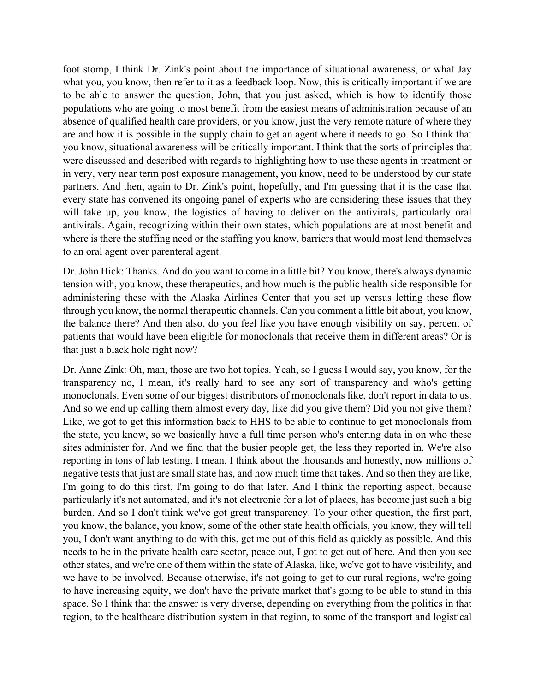antivirals. Again, recognizing within their own states, which populations are at most benefit and foot stomp, I think Dr. Zink's point about the importance of situational awareness, or what Jay what you, you know, then refer to it as a feedback loop. Now, this is critically important if we are to be able to answer the question, John, that you just asked, which is how to identify those populations who are going to most benefit from the easiest means of administration because of an absence of qualified health care providers, or you know, just the very remote nature of where they are and how it is possible in the supply chain to get an agent where it needs to go. So I think that you know, situational awareness will be critically important. I think that the sorts of principles that were discussed and described with regards to highlighting how to use these agents in treatment or in very, very near term post exposure management, you know, need to be understood by our state partners. And then, again to Dr. Zink's point, hopefully, and I'm guessing that it is the case that every state has convened its ongoing panel of experts who are considering these issues that they will take up, you know, the logistics of having to deliver on the antivirals, particularly oral where is there the staffing need or the staffing you know, barriers that would most lend themselves to an oral agent over parenteral agent.

Dr. John Hick: Thanks. And do you want to come in a little bit? You know, there's always dynamic tension with, you know, these therapeutics, and how much is the public health side responsible for administering these with the Alaska Airlines Center that you set up versus letting these flow through you know, the normal therapeutic channels. Can you comment a little bit about, you know, the balance there? And then also, do you feel like you have enough visibility on say, percent of patients that would have been eligible for monoclonals that receive them in different areas? Or is that just a black hole right now?

 I'm going to do this first, I'm going to do that later. And I think the reporting aspect, because Dr. Anne Zink: Oh, man, those are two hot topics. Yeah, so I guess I would say, you know, for the transparency no, I mean, it's really hard to see any sort of transparency and who's getting monoclonals. Even some of our biggest distributors of monoclonals like, don't report in data to us. And so we end up calling them almost every day, like did you give them? Did you not give them? Like, we got to get this information back to HHS to be able to continue to get monoclonals from the state, you know, so we basically have a full time person who's entering data in on who these sites administer for. And we find that the busier people get, the less they reported in. We're also reporting in tons of lab testing. I mean, I think about the thousands and honestly, now millions of negative tests that just are small state has, and how much time that takes. And so then they are like, particularly it's not automated, and it's not electronic for a lot of places, has become just such a big burden. And so I don't think we've got great transparency. To your other question, the first part, you know, the balance, you know, some of the other state health officials, you know, they will tell you, I don't want anything to do with this, get me out of this field as quickly as possible. And this needs to be in the private health care sector, peace out, I got to get out of here. And then you see other states, and we're one of them within the state of Alaska, like, we've got to have visibility, and we have to be involved. Because otherwise, it's not going to get to our rural regions, we're going to have increasing equity, we don't have the private market that's going to be able to stand in this space. So I think that the answer is very diverse, depending on everything from the politics in that region, to the healthcare distribution system in that region, to some of the transport and logistical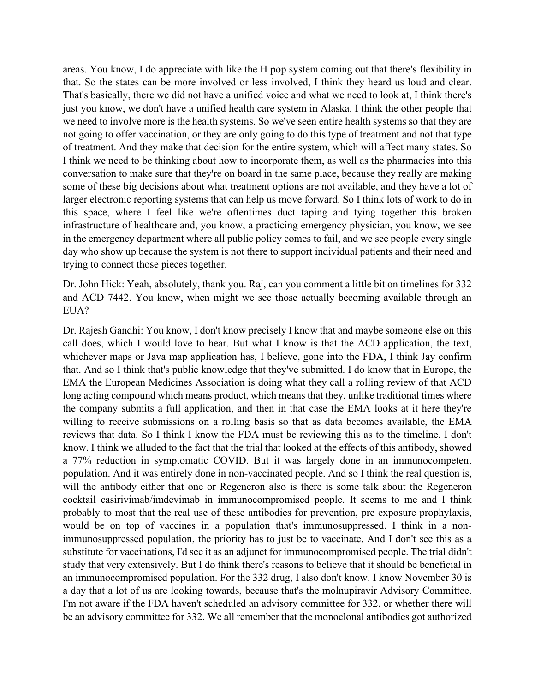we need to involve more is the health systems. So we've seen entire health systems so that they are areas. You know, I do appreciate with like the H pop system coming out that there's flexibility in that. So the states can be more involved or less involved, I think they heard us loud and clear. That's basically, there we did not have a unified voice and what we need to look at, I think there's just you know, we don't have a unified health care system in Alaska. I think the other people that not going to offer vaccination, or they are only going to do this type of treatment and not that type of treatment. And they make that decision for the entire system, which will affect many states. So I think we need to be thinking about how to incorporate them, as well as the pharmacies into this conversation to make sure that they're on board in the same place, because they really are making some of these big decisions about what treatment options are not available, and they have a lot of larger electronic reporting systems that can help us move forward. So I think lots of work to do in this space, where I feel like we're oftentimes duct taping and tying together this broken infrastructure of healthcare and, you know, a practicing emergency physician, you know, we see in the emergency department where all public policy comes to fail, and we see people every single day who show up because the system is not there to support individual patients and their need and trying to connect those pieces together.

Dr. John Hick: Yeah, absolutely, thank you. Raj, can you comment a little bit on timelines for 332 and ACD 7442. You know, when might we see those actually becoming available through an EUA?

 immunosuppressed population, the priority has to just be to vaccinate. And I don't see this as a Dr. Rajesh Gandhi: You know, I don't know precisely I know that and maybe someone else on this call does, which I would love to hear. But what I know is that the ACD application, the text, whichever maps or Java map application has, I believe, gone into the FDA, I think Jay confirm that. And so I think that's public knowledge that they've submitted. I do know that in Europe, the EMA the European Medicines Association is doing what they call a rolling review of that ACD long acting compound which means product, which means that they, unlike traditional times where the company submits a full application, and then in that case the EMA looks at it here they're willing to receive submissions on a rolling basis so that as data becomes available, the EMA reviews that data. So I think I know the FDA must be reviewing this as to the timeline. I don't know. I think we alluded to the fact that the trial that looked at the effects of this antibody, showed a 77% reduction in symptomatic COVID. But it was largely done in an immunocompetent population. And it was entirely done in non-vaccinated people. And so I think the real question is, will the antibody either that one or Regeneron also is there is some talk about the Regeneron cocktail casirivimab/imdevimab in immunocompromised people. It seems to me and I think probably to most that the real use of these antibodies for prevention, pre exposure prophylaxis, would be on top of vaccines in a population that's immunosuppressed. I think in a nonsubstitute for vaccinations, I'd see it as an adjunct for immunocompromised people. The trial didn't study that very extensively. But I do think there's reasons to believe that it should be beneficial in an immunocompromised population. For the 332 drug, I also don't know. I know November 30 is a day that a lot of us are looking towards, because that's the molnupiravir Advisory Committee. I'm not aware if the FDA haven't scheduled an advisory committee for 332, or whether there will be an advisory committee for 332. We all remember that the monoclonal antibodies got authorized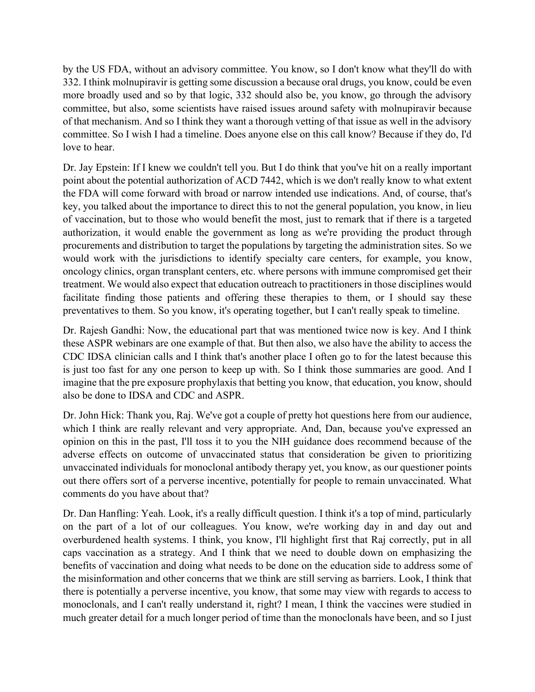332. I think molnupiravir is getting some discussion a because oral drugs, you know, could be even of that mechanism. And so I think they want a thorough vetting of that issue as well in the advisory by the US FDA, without an advisory committee. You know, so I don't know what they'll do with more broadly used and so by that logic, 332 should also be, you know, go through the advisory committee, but also, some scientists have raised issues around safety with molnupiravir because committee. So I wish I had a timeline. Does anyone else on this call know? Because if they do, I'd love to hear.

Dr. Jay Epstein: If I knew we couldn't tell you. But I do think that you've hit on a really important point about the potential authorization of ACD 7442, which is we don't really know to what extent the FDA will come forward with broad or narrow intended use indications. And, of course, that's key, you talked about the importance to direct this to not the general population, you know, in lieu of vaccination, but to those who would benefit the most, just to remark that if there is a targeted authorization, it would enable the government as long as we're providing the product through procurements and distribution to target the populations by targeting the administration sites. So we would work with the jurisdictions to identify specialty care centers, for example, you know, oncology clinics, organ transplant centers, etc. where persons with immune compromised get their treatment. We would also expect that education outreach to practitioners in those disciplines would facilitate finding those patients and offering these therapies to them, or I should say these preventatives to them. So you know, it's operating together, but I can't really speak to timeline.

Dr. Rajesh Gandhi: Now, the educational part that was mentioned twice now is key. And I think these ASPR webinars are one example of that. But then also, we also have the ability to access the CDC IDSA clinician calls and I think that's another place I often go to for the latest because this is just too fast for any one person to keep up with. So I think those summaries are good. And I imagine that the pre exposure prophylaxis that betting you know, that education, you know, should also be done to IDSA and CDC and ASPR.

 out there offers sort of a perverse incentive, potentially for people to remain unvaccinated. What comments do you have about that? Dr. John Hick: Thank you, Raj. We've got a couple of pretty hot questions here from our audience, which I think are really relevant and very appropriate. And, Dan, because you've expressed an opinion on this in the past, I'll toss it to you the NIH guidance does recommend because of the adverse effects on outcome of unvaccinated status that consideration be given to prioritizing unvaccinated individuals for monoclonal antibody therapy yet, you know, as our questioner points

 there is potentially a perverse incentive, you know, that some may view with regards to access to much greater detail for a much longer period of time than the monoclonals have been, and so I just Dr. Dan Hanfling: Yeah. Look, it's a really difficult question. I think it's a top of mind, particularly on the part of a lot of our colleagues. You know, we're working day in and day out and overburdened health systems. I think, you know, I'll highlight first that Raj correctly, put in all caps vaccination as a strategy. And I think that we need to double down on emphasizing the benefits of vaccination and doing what needs to be done on the education side to address some of the misinformation and other concerns that we think are still serving as barriers. Look, I think that monoclonals, and I can't really understand it, right? I mean, I think the vaccines were studied in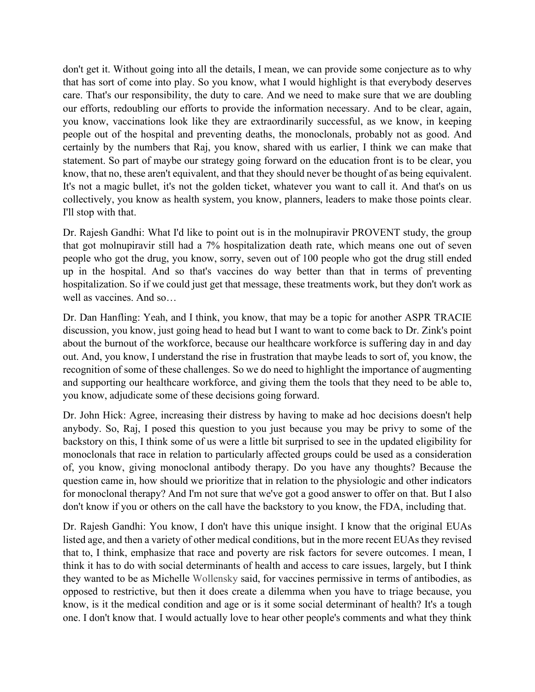don't get it. Without going into all the details, I mean, we can provide some conjecture as to why that has sort of come into play. So you know, what I would highlight is that everybody deserves care. That's our responsibility, the duty to care. And we need to make sure that we are doubling our efforts, redoubling our efforts to provide the information necessary. And to be clear, again, you know, vaccinations look like they are extraordinarily successful, as we know, in keeping people out of the hospital and preventing deaths, the monoclonals, probably not as good. And certainly by the numbers that Raj, you know, shared with us earlier, I think we can make that statement. So part of maybe our strategy going forward on the education front is to be clear, you know, that no, these aren't equivalent, and that they should never be thought of as being equivalent. It's not a magic bullet, it's not the golden ticket, whatever you want to call it. And that's on us collectively, you know as health system, you know, planners, leaders to make those points clear. I'll stop with that.

Dr. Rajesh Gandhi: What I'd like to point out is in the molnupiravir PROVENT study, the group that got molnupiravir still had a 7% hospitalization death rate, which means one out of seven people who got the drug, you know, sorry, seven out of 100 people who got the drug still ended up in the hospital. And so that's vaccines do way better than that in terms of preventing hospitalization. So if we could just get that message, these treatments work, but they don't work as well as vaccines. And so…

 discussion, you know, just going head to head but I want to want to come back to Dr. Zink's point Dr. Dan Hanfling: Yeah, and I think, you know, that may be a topic for another ASPR TRACIE about the burnout of the workforce, because our healthcare workforce is suffering day in and day out. And, you know, I understand the rise in frustration that maybe leads to sort of, you know, the recognition of some of these challenges. So we do need to highlight the importance of augmenting and supporting our healthcare workforce, and giving them the tools that they need to be able to, you know, adjudicate some of these decisions going forward.

Dr. John Hick: Agree, increasing their distress by having to make ad hoc decisions doesn't help anybody. So, Raj, I posed this question to you just because you may be privy to some of the backstory on this, I think some of us were a little bit surprised to see in the updated eligibility for monoclonals that race in relation to particularly affected groups could be used as a consideration of, you know, giving monoclonal antibody therapy. Do you have any thoughts? Because the question came in, how should we prioritize that in relation to the physiologic and other indicators for monoclonal therapy? And I'm not sure that we've got a good answer to offer on that. But I also don't know if you or others on the call have the backstory to you know, the FDA, including that.

 one. I don't know that. I would actually love to hear other people's comments and what they think Dr. Rajesh Gandhi: You know, I don't have this unique insight. I know that the original EUAs listed age, and then a variety of other medical conditions, but in the more recent EUAs they revised that to, I think, emphasize that race and poverty are risk factors for severe outcomes. I mean, I think it has to do with social determinants of health and access to care issues, largely, but I think they wanted to be as Michelle Wollensky said, for vaccines permissive in terms of antibodies, as opposed to restrictive, but then it does create a dilemma when you have to triage because, you know, is it the medical condition and age or is it some social determinant of health? It's a tough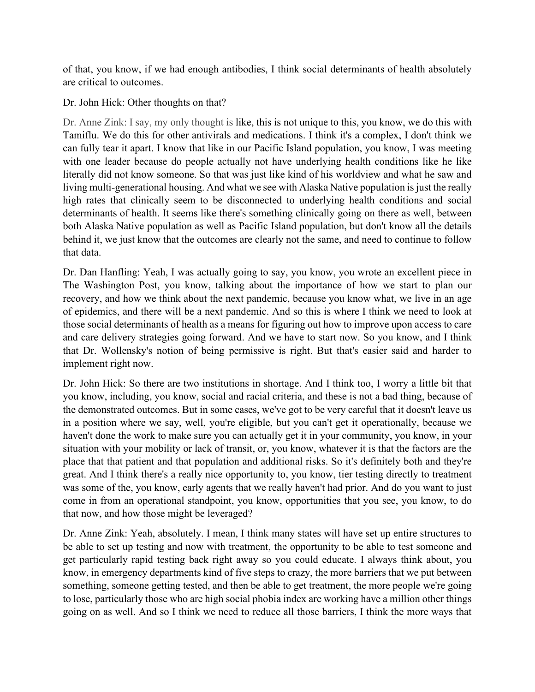of that, you know, if we had enough antibodies, I think social determinants of health absolutely are critical to outcomes.

Dr. John Hick: Other thoughts on that?

Dr. Anne Zink: I say, my only thought is like, this is not unique to this, you know, we do this with Tamiflu. We do this for other antivirals and medications. I think it's a complex, I don't think we can fully tear it apart. I know that like in our Pacific Island population, you know, I was meeting with one leader because do people actually not have underlying health conditions like he like literally did not know someone. So that was just like kind of his worldview and what he saw and living multi-generational housing. And what we see with Alaska Native population is just the really high rates that clinically seem to be disconnected to underlying health conditions and social determinants of health. It seems like there's something clinically going on there as well, between both Alaska Native population as well as Pacific Island population, but don't know all the details behind it, we just know that the outcomes are clearly not the same, and need to continue to follow that data.

Dr. Dan Hanfling: Yeah, I was actually going to say, you know, you wrote an excellent piece in The Washington Post, you know, talking about the importance of how we start to plan our recovery, and how we think about the next pandemic, because you know what, we live in an age of epidemics, and there will be a next pandemic. And so this is where I think we need to look at those social determinants of health as a means for figuring out how to improve upon access to care and care delivery strategies going forward. And we have to start now. So you know, and I think that Dr. Wollensky's notion of being permissive is right. But that's easier said and harder to implement right now.

Dr. John Hick: So there are two institutions in shortage. And I think too, I worry a little bit that you know, including, you know, social and racial criteria, and these is not a bad thing, because of the demonstrated outcomes. But in some cases, we've got to be very careful that it doesn't leave us in a position where we say, well, you're eligible, but you can't get it operationally, because we haven't done the work to make sure you can actually get it in your community, you know, in your situation with your mobility or lack of transit, or, you know, whatever it is that the factors are the place that that patient and that population and additional risks. So it's definitely both and they're great. And I think there's a really nice opportunity to, you know, tier testing directly to treatment was some of the, you know, early agents that we really haven't had prior. And do you want to just come in from an operational standpoint, you know, opportunities that you see, you know, to do that now, and how those might be leveraged?

Dr. Anne Zink: Yeah, absolutely. I mean, I think many states will have set up entire structures to be able to set up testing and now with treatment, the opportunity to be able to test someone and get particularly rapid testing back right away so you could educate. I always think about, you know, in emergency departments kind of five steps to crazy, the more barriers that we put between something, someone getting tested, and then be able to get treatment, the more people we're going to lose, particularly those who are high social phobia index are working have a million other things going on as well. And so I think we need to reduce all those barriers, I think the more ways that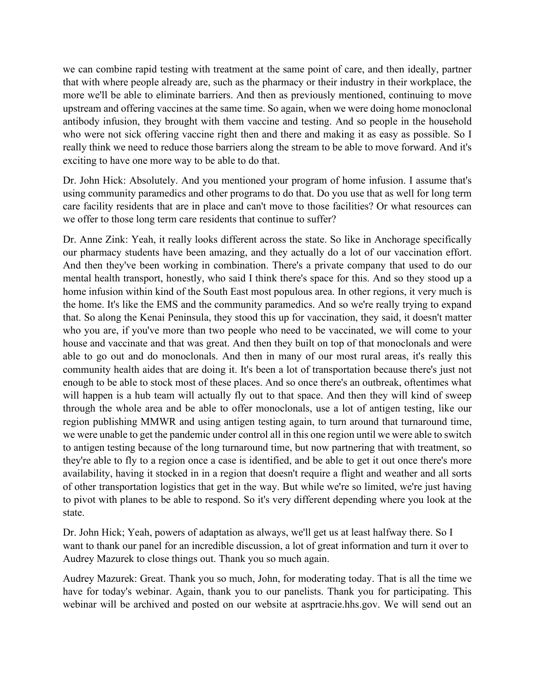upstream and offering vaccines at the same time. So again, when we were doing home monoclonal we can combine rapid testing with treatment at the same point of care, and then ideally, partner that with where people already are, such as the pharmacy or their industry in their workplace, the more we'll be able to eliminate barriers. And then as previously mentioned, continuing to move antibody infusion, they brought with them vaccine and testing. And so people in the household who were not sick offering vaccine right then and there and making it as easy as possible. So I really think we need to reduce those barriers along the stream to be able to move forward. And it's exciting to have one more way to be able to do that.

Dr. John Hick: Absolutely. And you mentioned your program of home infusion. I assume that's using community paramedics and other programs to do that. Do you use that as well for long term care facility residents that are in place and can't move to those facilities? Or what resources can we offer to those long term care residents that continue to suffer?

 home infusion within kind of the South East most populous area. In other regions, it very much is Dr. Anne Zink: Yeah, it really looks different across the state. So like in Anchorage specifically our pharmacy students have been amazing, and they actually do a lot of our vaccination effort. And then they've been working in combination. There's a private company that used to do our mental health transport, honestly, who said I think there's space for this. And so they stood up a the home. It's like the EMS and the community paramedics. And so we're really trying to expand that. So along the Kenai Peninsula, they stood this up for vaccination, they said, it doesn't matter who you are, if you've more than two people who need to be vaccinated, we will come to your house and vaccinate and that was great. And then they built on top of that monoclonals and were able to go out and do monoclonals. And then in many of our most rural areas, it's really this community health aides that are doing it. It's been a lot of transportation because there's just not enough to be able to stock most of these places. And so once there's an outbreak, oftentimes what will happen is a hub team will actually fly out to that space. And then they will kind of sweep through the whole area and be able to offer monoclonals, use a lot of antigen testing, like our region publishing MMWR and using antigen testing again, to turn around that turnaround time, we were unable to get the pandemic under control all in this one region until we were able to switch to antigen testing because of the long turnaround time, but now partnering that with treatment, so they're able to fly to a region once a case is identified, and be able to get it out once there's more availability, having it stocked in in a region that doesn't require a flight and weather and all sorts of other transportation logistics that get in the way. But while we're so limited, we're just having to pivot with planes to be able to respond. So it's very different depending where you look at the state.

 Dr. John Hick; Yeah, powers of adaptation as always, we'll get us at least halfway there. So I want to thank our panel for an incredible discussion, a lot of great information and turn it over to Audrey Mazurek to close things out. Thank you so much again.

 webinar will be archived and posted on our website at asprtracie.hhs.gov. We will send out an Audrey Mazurek: Great. Thank you so much, John, for moderating today. That is all the time we have for today's webinar. Again, thank you to our panelists. Thank you for participating. This